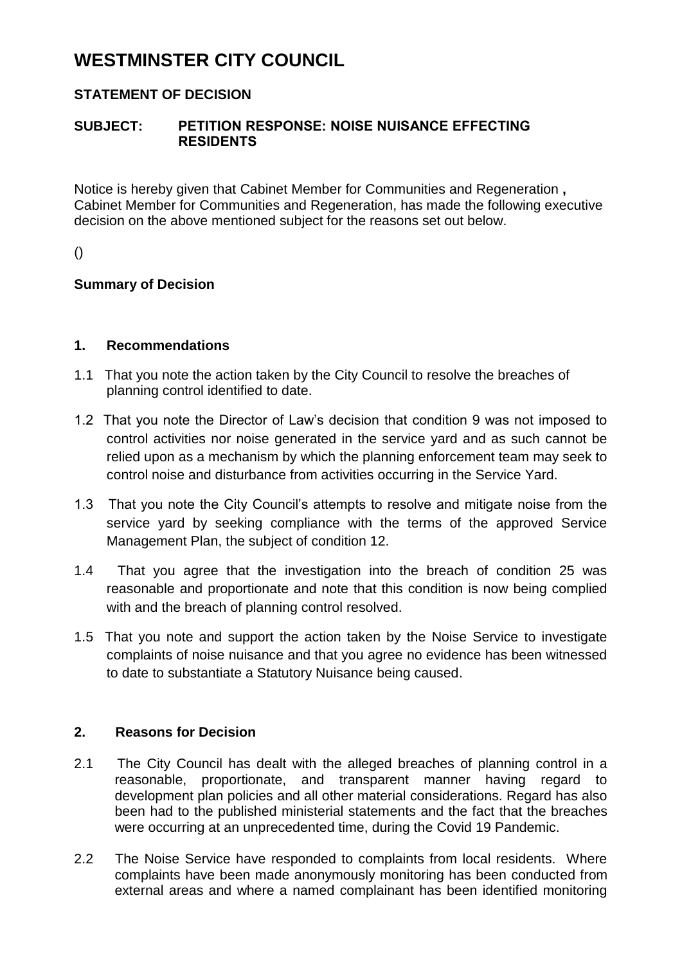# **WESTMINSTER CITY COUNCIL**

# **STATEMENT OF DECISION**

### **SUBJECT: PETITION RESPONSE: NOISE NUISANCE EFFECTING RESIDENTS**

Notice is hereby given that Cabinet Member for Communities and Regeneration **,** Cabinet Member for Communities and Regeneration, has made the following executive decision on the above mentioned subject for the reasons set out below.

()

## **Summary of Decision**

#### **1. Recommendations**

- 1.1 That you note the action taken by the City Council to resolve the breaches of planning control identified to date.
- 1.2 That you note the Director of Law's decision that condition 9 was not imposed to control activities nor noise generated in the service yard and as such cannot be relied upon as a mechanism by which the planning enforcement team may seek to control noise and disturbance from activities occurring in the Service Yard.
- 1.3 That you note the City Council's attempts to resolve and mitigate noise from the service yard by seeking compliance with the terms of the approved Service Management Plan, the subject of condition 12.
- 1.4 That you agree that the investigation into the breach of condition 25 was reasonable and proportionate and note that this condition is now being complied with and the breach of planning control resolved.
- 1.5 That you note and support the action taken by the Noise Service to investigate complaints of noise nuisance and that you agree no evidence has been witnessed to date to substantiate a Statutory Nuisance being caused.

#### **2. Reasons for Decision**

- 2.1 The City Council has dealt with the alleged breaches of planning control in a reasonable, proportionate, and transparent manner having regard to development plan policies and all other material considerations. Regard has also been had to the published ministerial statements and the fact that the breaches were occurring at an unprecedented time, during the Covid 19 Pandemic.
- 2.2 The Noise Service have responded to complaints from local residents. Where complaints have been made anonymously monitoring has been conducted from external areas and where a named complainant has been identified monitoring